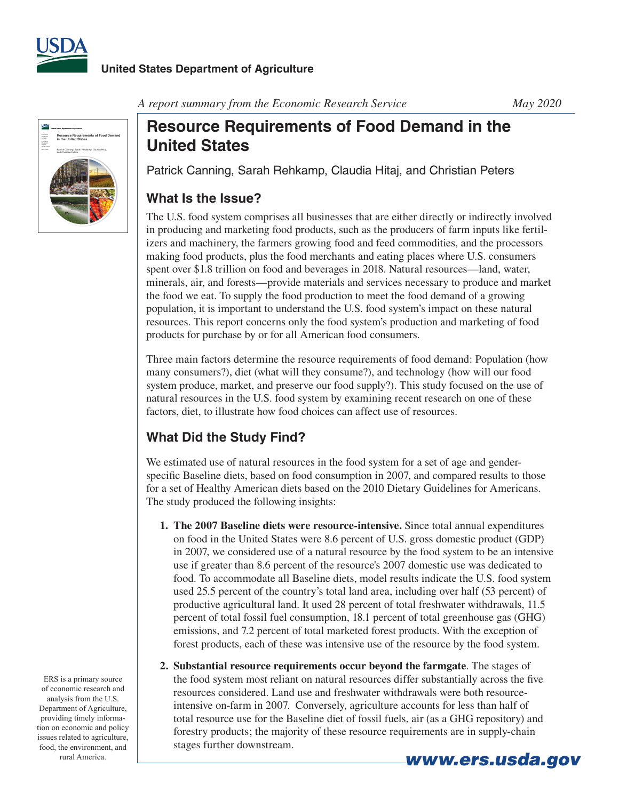



*A report summary from the Economic Research Service May 2020*

# **Resource Requirements of Food Demand in the United States**

Patrick Canning, Sarah Rehkamp, Claudia Hitaj, and Christian Peters

### **What Is the Issue?**

The U.S. food system comprises all businesses that are either directly or indirectly involved in producing and marketing food products, such as the producers of farm inputs like fertilizers and machinery, the farmers growing food and feed commodities, and the processors making food products, plus the food merchants and eating places where U.S. consumers spent over \$1.8 trillion on food and beverages in 2018. Natural resources—land, water, minerals, air, and forests—provide materials and services necessary to produce and market the food we eat. To supply the food production to meet the food demand of a growing population, it is important to understand the U.S. food system's impact on these natural resources. This report concerns only the food system's production and marketing of food products for purchase by or for all American food consumers.

Three main factors determine the resource requirements of food demand: Population (how many consumers?), diet (what will they consume?), and technology (how will our food system produce, market, and preserve our food supply?). This study focused on the use of natural resources in the U.S. food system by examining recent research on one of these factors, diet, to illustrate how food choices can affect use of resources.

## **What Did the Study Find?**

We estimated use of natural resources in the food system for a set of age and genderspecific Baseline diets, based on food consumption in 2007, and compared results to those for a set of Healthy American diets based on the 2010 Dietary Guidelines for Americans. The study produced the following insights:

- **1. The 2007 Baseline diets were resource-intensive.** Since total annual expenditures on food in the United States were 8.6 percent of U.S. gross domestic product (GDP) in 2007, we considered use of a natural resource by the food system to be an intensive use if greater than 8.6 percent of the resource's 2007 domestic use was dedicated to food. To accommodate all Baseline diets, model results indicate the U.S. food system used 25.5 percent of the country's total land area, including over half (53 percent) of productive agricultural land. It used 28 percent of total freshwater withdrawals, 11.5 percent of total fossil fuel consumption, 18.1 percent of total greenhouse gas (GHG) emissions, and 7.2 percent of total marketed forest products. With the exception of forest products, each of these was intensive use of the resource by the food system.
- **2. Substantial resource requirements occur beyond the farmgate**. The stages of the food system most reliant on natural resources differ substantially across the five resources considered. Land use and freshwater withdrawals were both resourceintensive on-farm in 2007. Conversely, agriculture accounts for less than half of total resource use for the Baseline diet of fossil fuels, air (as a GHG repository) and forestry products; the majority of these resource requirements are in supply-chain stages further downstream.

ERS is a primary source of economic research and analysis from the U.S. Department of Agriculture, providing timely information on economic and policy issues related to agriculture, food, the environment, and